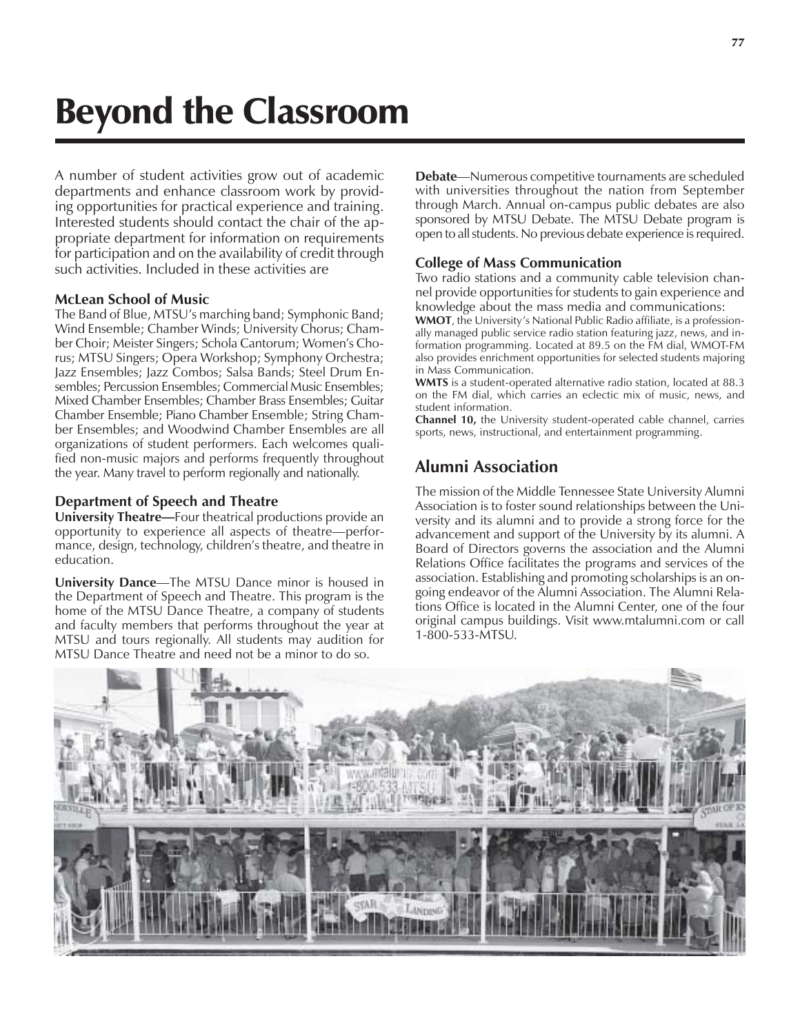# Beyond the Classroom

A number of student activities grow out of academic departments and enhance classroom work by providing opportunities for practical experience and training. Interested students should contact the chair of the appropriate department for information on requirements for participation and on the availability of credit through such activities. Included in these activities are

### **McLean School of Music**

The Band of Blue, MTSU's marching band; Symphonic Band; Wind Ensemble; Chamber Winds; University Chorus; Chamber Choir; Meister Singers; Schola Cantorum; Womenís Chorus; MTSU Singers; Opera Workshop; Symphony Orchestra; Jazz Ensembles; Jazz Combos; Salsa Bands; Steel Drum Ensembles; Percussion Ensembles; Commercial Music Ensembles; Mixed Chamber Ensembles; Chamber Brass Ensembles; Guitar Chamber Ensemble; Piano Chamber Ensemble; String Chamber Ensembles; and Woodwind Chamber Ensembles are all organizations of student performers. Each welcomes qualified non-music majors and performs frequently throughout the year. Many travel to perform regionally and nationally.

### **Department of Speech and Theatre**

**University Theatre—Four theatrical productions provide an** opportunity to experience all aspects of theatre—performance, design, technology, children's theatre, and theatre in education.

**University Dance**—The MTSU Dance minor is housed in the Department of Speech and Theatre. This program is the home of the MTSU Dance Theatre, a company of students and faculty members that performs throughout the year at MTSU and tours regionally. All students may audition for MTSU Dance Theatre and need not be a minor to do so.

**Debate**—Numerous competitive tournaments are scheduled with universities throughout the nation from September through March. Annual on-campus public debates are also sponsored by MTSU Debate. The MTSU Debate program is open to all students. No previous debate experience is required.

## **College of Mass Communication**

Two radio stations and a community cable television channel provide opportunities for students to gain experience and knowledge about the mass media and communications:

**WMOT**, the University's National Public Radio affiliate, is a professionally managed public service radio station featuring jazz, news, and information programming. Located at 89.5 on the FM dial, WMOT-FM also provides enrichment opportunities for selected students majoring in Mass Communication.

**WMTS** is a student-operated alternative radio station, located at 88.3 on the FM dial, which carries an eclectic mix of music, news, and student information.

**Channel 10,** the University student-operated cable channel, carries sports, news, instructional, and entertainment programming.

## **Alumni Association**

The mission of the Middle Tennessee State University Alumni Association is to foster sound relationships between the University and its alumni and to provide a strong force for the advancement and support of the University by its alumni. A Board of Directors governs the association and the Alumni Relations Office facilitates the programs and services of the association. Establishing and promoting scholarships is an ongoing endeavor of the Alumni Association. The Alumni Relations Office is located in the Alumni Center, one of the four original campus buildings. Visit www.mtalumni.com or call 1-800-533-MTSU.